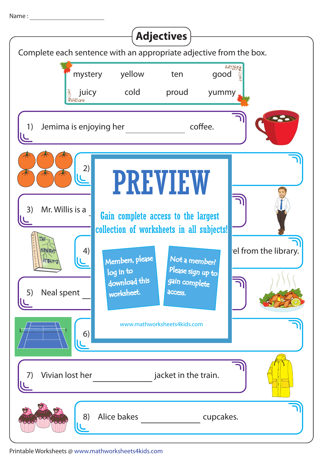Name :